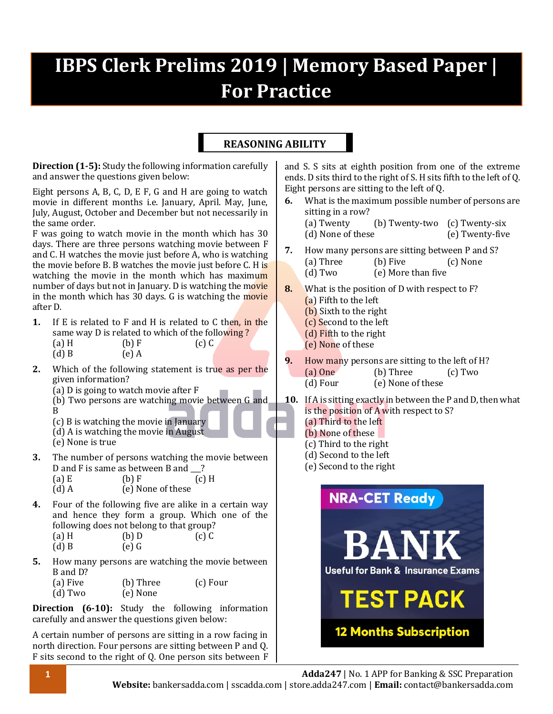# **IBPS Clerk Prelims 2019 | Memory Based Paper | For Practice**

## **REASONING ABILITY**

**Direction (1-5):** Study the following information carefully and answer the questions given below:

Eight persons A, B, C, D, E F, G and H are going to watch movie in different months i.e. January, April. May, June, July, August, October and December but not necessarily in the same order.

F was going to watch movie in the month which has 30 days. There are three persons watching movie between F and C. H watches the movie just before A, who is watching the movie before B. B watches the movie just before C. H is watching the movie in the month which has maximum number of days but not in January. D is watching the movie in the month which has 30 days. G is watching the movie after D.

- **1.** If E is related to F and H is related to C then, in the same way D is related to which of the following?
	- (a) H (b) F (c) C
	- $(d) B$   $(e) A$
- **2.** Which of the following statement is true as per the given information?
	- (a) D is going to watch movie after F
	- (b) Two persons are watching movie between G and B
	- (c) B is watching the movie in January
	- (d) A is watching the movie in August
	- (e) None is true
- **3.** The number of persons watching the movie between D and F is same as between B and  $\qquad$  ?

| $(a)$ E | (b) F             | $(c)$ H |
|---------|-------------------|---------|
| $(d)$ A | (e) None of these |         |

- **4.** Four of the following five are alike in a certain way and hence they form a group. Which one of the following does not belong to that group? (a) H (b) D (c) C
	- $(d) B$   $(e) G$
- **5.** How many persons are watching the movie between B and D?
	- (a) Five (b) Three (c) Four
	- (d) Two (e) None

**Direction (6-10):** Study the following information carefully and answer the questions given below:

A certain number of persons are sitting in a row facing in north direction. Four persons are sitting between P and Q. F sits second to the right of Q. One person sits between F

and S. S sits at eighth position from one of the extreme ends. D sits third to the right of S. H sits fifth to the left of Q. Eight persons are sitting to the left of Q.

- **6.** What is the maximum possible number of persons are sitting in a row? (a) Twenty (b) Twenty-two (c) Twenty-six
	- (d) None of these (e) Twenty-five
- **7.** How many persons are sitting between P and S? (a) Three (b) Five (c) None (d) Two (e) More than five
- **8.** What is the position of D with respect to F? (a) Fifth to the left (b) Sixth to the right
	- (c) Second to the left
	- (d) Fifth to the right
	- (e) None of these
- **9.** How many persons are sitting to the left of H?
	- (a) One (b) Three (c) Two
	- (d) Four (e) None of these
- **10.** If A is sitting exactly in between the P and D, then what is the position of A with respect to S?
	- (a) Third to the left (b) None of these
	- (c) Third to the right
	- (d) Second to the left
	- (e) Second to the right

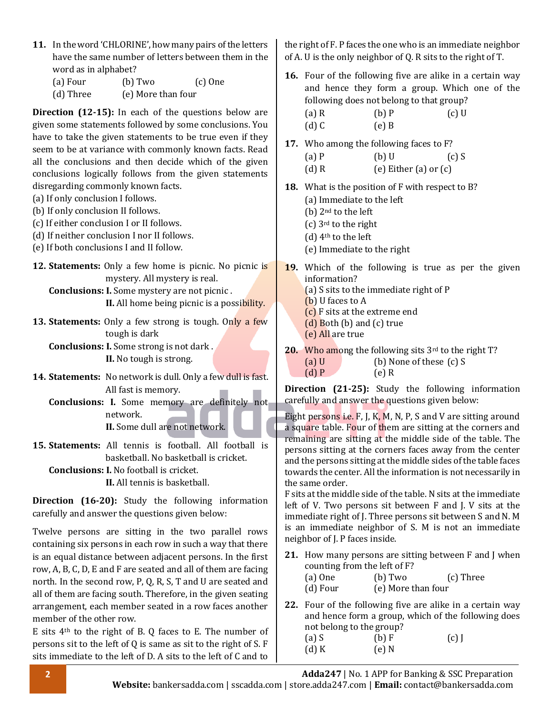- **11.** In the word 'CHLORINE', how many pairs of the letters have the same number of letters between them in the word as in alphabet?
	- (a) Four (b) Two (c) One (d) Three (e) More than four

**Direction (12-15):** In each of the questions below are given some statements followed by some conclusions. You have to take the given statements to be true even if they seem to be at variance with commonly known facts. Read all the conclusions and then decide which of the given conclusions logically follows from the given statements disregarding commonly known facts.

- (a) If only conclusion I follows.
- (b) If only conclusion II follows.
- (c) If either conclusion I or II follows.
- (d) If neither conclusion I nor II follows.
- (e) If both conclusions I and II follow.
- **12. Statements:** Only a few home is picnic. No picnic is mystery. All mystery is real. **Conclusions: I.** Some mystery are not picnic .

**II.** All home being picnic is a possibility.

**13. Statements:** Only a few strong is tough. Only a few tough is dark

**Conclusions: I.** Some strong is not dark . **II.** No tough is strong.

- **14. Statements:** No network is dull. Only a few dull is fast. All fast is memory.
	- **Conclusions: I.** Some memory are definitely not network. **II.** Some dull are not network.

**15. Statements:** All tennis is football. All football is basketball. No basketball is cricket. **Conclusions: I.** No football is cricket.

**II.** All tennis is basketball.

**Direction (16-20):** Study the following information carefully and answer the questions given below:

Twelve persons are sitting in the two parallel rows containing six persons in each row in such a way that there is an equal distance between adjacent persons. In the first row, A, B, C, D, E and F are seated and all of them are facing north. In the second row, P, Q, R, S, T and U are seated and all of them are facing south. Therefore, in the given seating arrangement, each member seated in a row faces another member of the other row.

E sits 4th to the right of B. Q faces to E. The number of persons sit to the left of Q is same as sit to the right of S. F sits immediate to the left of D. A sits to the left of C and to

the right of F. P faces the one who is an immediate neighbor of A. U is the only neighbor of Q. R sits to the right of T.

- **16.** Four of the following five are alike in a certain way and hence they form a group. Which one of the following does not belong to that group? (a) R (b) P (c) U
	- (d) C  $(e)$  B
- **17.** Who among the following faces to F?
	- (a) P (b) U (c) S (d) R  $(e)$  Either (a) or  $(c)$
- **18.** What is the position of F with respect to B?
	- (a) Immediate to the left
	- (b) 2nd to the left
	- (c) 3rd to the right
	- (d) 4th to the left
	- (e) Immediate to the right
- **19.** Which of the following is true as per the given information?
	- (a) S sits to the immediate right of P
	- (b) U faces to A
	- (c) F sits at the extreme end
	- (d) Both (b) and (c) true
	- (e) All are true
- **20.** Who among the following sits 3rd to the right T? (a) U (b) None of these (c) S (d) P (e) R

**Direction (21-25):** Study the following information carefully and answer the questions given below:

Eight persons i.e. F, J, K, M, N, P, S and V are sitting around a square table. Four of them are sitting at the corners and remaining are sitting at the middle side of the table. The persons sitting at the corners faces away from the center and the persons sitting at the middle sides of the table faces towards the center. All the information is not necessarily in the same order.

F sits at the middle side of the table. N sits at the immediate left of V. Two persons sit between F and J. V sits at the immediate right of J. Three persons sit between S and N. M is an immediate neighbor of S. M is not an immediate neighbor of J. P faces inside.

- **21.** How many persons are sitting between F and J when counting from the left of F?
	- (a) One (b) Two (c) Three
	- (d) Four (e) More than four
- **22.** Four of the following five are alike in a certain way and hence form a group, which of the following does not belong to the group?

| $(a)$ S | (b) F | $(c)$ J |
|---------|-------|---------|
| $(d)$ K | (e) N |         |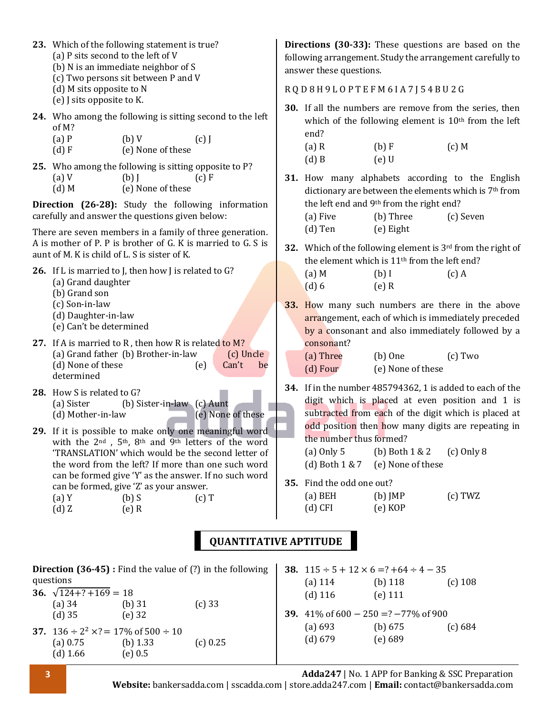| 23. Which of the following statement is true?<br>(a) P sits second to the left of V<br>(b) N is an immediate neighbor of S<br>(c) Two persons sit between P and V                                                                                                         | Directions (30-33): These questions are based on the<br>following arrangement. Study the arrangement carefully to<br>answer these questions.                             |
|---------------------------------------------------------------------------------------------------------------------------------------------------------------------------------------------------------------------------------------------------------------------------|--------------------------------------------------------------------------------------------------------------------------------------------------------------------------|
| (d) M sits opposite to N<br>(e) J sits opposite to K.                                                                                                                                                                                                                     | RQD8H9LOPTEFM6IA7J54BU2G                                                                                                                                                 |
| 24. Who among the following is sitting second to the left<br>of M?<br>$(a)$ $P$<br>(b)V<br>$(c)$ J                                                                                                                                                                        | 30. If all the numbers are remove from the series, then<br>which of the following element is 10 <sup>th</sup> from the left<br>end?                                      |
| (d) F<br>(e) None of these                                                                                                                                                                                                                                                | $(a)$ R<br>(b) F<br>$(c)$ M<br>$(d)$ B<br>$(e)$ U                                                                                                                        |
| 25. Who among the following is sitting opposite to P?<br>$(a)$ V<br>$(b)$ J<br>$(c)$ F<br>(e) None of these<br>$(d)$ M                                                                                                                                                    | 31. How many alphabets according to the English<br>dictionary are between the elements which is 7 <sup>th</sup> from                                                     |
| Direction (26-28): Study the following information<br>carefully and answer the questions given below:                                                                                                                                                                     | the left end and 9th from the right end?<br>(b) Three<br>(a) Five<br>(c) Seven                                                                                           |
| There are seven members in a family of three generation.                                                                                                                                                                                                                  | $(d)$ Ten<br>(e) Eight                                                                                                                                                   |
| A is mother of P. P is brother of G. K is married to G. S is<br>aunt of M. K is child of L. S is sister of K.                                                                                                                                                             | 32. Which of the following element is 3rd from the right of<br>the element which is 11 <sup>th</sup> from the left end?                                                  |
| 26. If L is married to J, then how J is related to G?<br>(a) Grand daughter<br>(b) Grand son                                                                                                                                                                              | $(a)$ M<br>$(b)$ I<br>$(c)$ A<br>(d) 6<br>$(e)$ R                                                                                                                        |
| (c) Son-in-law<br>(d) Daughter-in-law<br>(e) Can't be determined                                                                                                                                                                                                          | 33. How many such numbers are there in the above<br>arrangement, each of which is immediately preceded<br>by a consonant and also immediately followed by a              |
| 27. If A is married to R, then how R is related to M?<br>(a) Grand father (b) Brother-in-law<br>(c) Uncle<br>(d) None of these<br>Can't<br>be<br>(e)<br>determined                                                                                                        | consonant?<br>(a) Three<br>$(b)$ One<br>$(c)$ Two<br>(d) Four<br>(e) None of these                                                                                       |
| 28. How S is related to G?<br>(a) Sister<br>(b) Sister-in-law (c) Aunt<br>(d) Mother-in-law<br>(e) None of these                                                                                                                                                          | 34. If in the number 485794362, 1 is added to each of the<br>digit which is placed at even position and 1 is<br>subtracted from each of the digit which is placed at     |
| 29. If it is possible to make only one meaningful word<br>with the 2 <sup>nd</sup> , 5 <sup>th</sup> , 8 <sup>th</sup> and 9 <sup>th</sup> letters of the word<br>'TRANSLATION' which would be the second letter of<br>the word from the left? If more than one such word | odd position then how many digits are repeating in<br>the number thus formed?<br>$(a)$ Only 5<br>(b) Both $1 & 2$<br>$(c)$ Only 8<br>(d) Both 1 & 7<br>(e) None of these |
| can be formed give 'Y' as the answer. If no such word<br>can be formed, give 'Z' as your answer.<br>(a)Y<br>$(b)$ S<br>$(c)$ T<br>(d)Z<br>$(e)$ R                                                                                                                         | 35. Find the odd one out?<br>$(a)$ BEH<br>$(b)$ JMP<br>(c) TWZ<br>$(d)$ CFI<br>(e) KOP                                                                                   |

# **QUANTITATIVE APTITUDE**

|                                                                                 |                         | <b>Direction (36-45)</b> : Find the value of $(?)$ in the following |                    | 38. $115 \div 5 + 12 \times 6 = ? + 64 \div 4 - 35$ |           |
|---------------------------------------------------------------------------------|-------------------------|---------------------------------------------------------------------|--------------------|-----------------------------------------------------|-----------|
| questions                                                                       |                         |                                                                     | (a) $114$          | (b) $118$                                           | $(c)$ 108 |
| 36. $\sqrt{124+}$ ? +169 = 18                                                   |                         |                                                                     | $(d)$ 116          | $(e)$ 111                                           |           |
| (a) $34$<br>$(d)$ 35                                                            | (b) $31$<br>(e) $32$    | $(c)$ 33                                                            |                    | <b>39.</b> 41\% of 600 - 250 =? -77\% of 900        |           |
| 37. $136 \div 2^2 \times ? = 17\%$ of $500 \div 10$<br>(a) $0.75$<br>$(d)$ 1.66 | (b) $1.33$<br>(e) $0.5$ | (c) 0.25                                                            | (a) 693<br>(d) 679 | (b) $675$<br>(e) 689                                | (c) 684   |

**3 Adda247** | No. 1 APP for Banking & SSC Preparation

**Website:** bankersadda.com | sscadda.com | store.adda247.com | **Email:** contact@bankersadda.com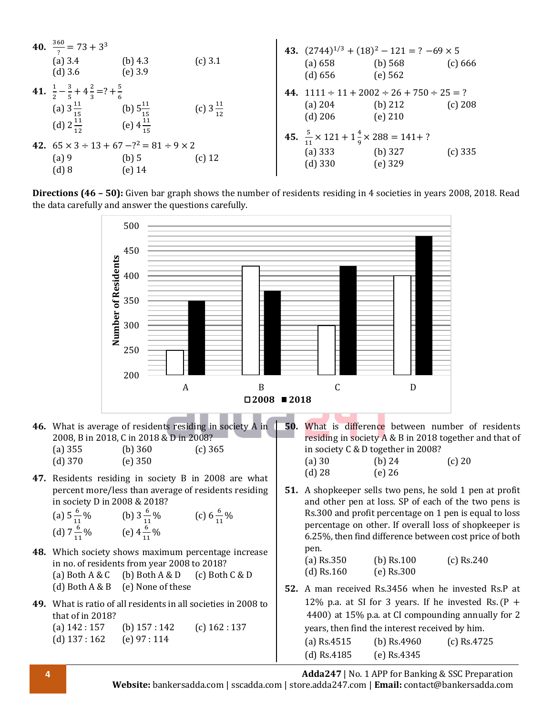| 40. $\frac{360}{2} = 73 + 3^3$<br>(a) $3.4$<br>$(d)$ 3.6                                                         | (b) $4.3$<br>$(e)$ 3.9                                                         | (c) 3.1              | (a) 658<br>(d) 656                                                                        | 43. $(2744)^{1/3} + (18)^2 - 121 = ? -69 \times 5$<br>(b) $568$<br>(e) $562$ | (c) 666   |
|------------------------------------------------------------------------------------------------------------------|--------------------------------------------------------------------------------|----------------------|-------------------------------------------------------------------------------------------|------------------------------------------------------------------------------|-----------|
| 41. $\frac{1}{2} - \frac{3}{5} + 4\frac{2}{3} = ? + \frac{5}{6}$<br>(a) $3\frac{11}{15}$<br>(d) $2\frac{11}{12}$ | (b) $5\frac{11}{15}$<br>(e) $4\frac{11}{17}$                                   | (c) $3\frac{11}{12}$ | (a) $204$<br>$(d)$ 206                                                                    | 44. $1111 \div 11 + 2002 \div 26 + 750 \div 25 = ?$<br>(b) $212$<br>(e) 210  | (c) 208   |
| $(a)$ 9<br>(d) 8                                                                                                 | 42. $65 \times 3 \div 13 + 67 - 2^2 = 81 \div 9 \times 2$<br>(b) 5<br>$(e)$ 14 | $(c)$ 12             | 45. $\frac{5}{11} \times 121 + 1\frac{4}{9} \times 288 = 141 + ?$<br>(a) 333<br>$(d)$ 330 | (b) $327$<br>$(e)$ 329                                                       | $(c)$ 335 |

**Directions (46 – 50):** Given bar graph shows the number of residents residing in 4 societies in years 2008, 2018. Read the data carefully and answer the questions carefully.



**4 Adda247** | No. 1 APP for Banking & SSC Preparation **Website:** bankersadda.com | sscadda.com | store.adda247.com | **Email:** contact@bankersadda.com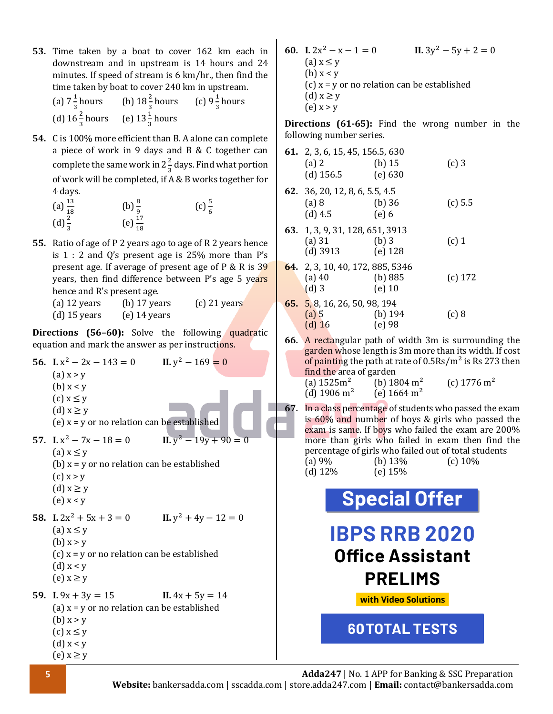**53.** Time taken by a boat to cover 162 km each in downstream and in upstream is 14 hours and 24 minutes. If speed of stream is 6 km/hr., then find the time taken by boat to cover 240 km in upstream.

| (a) $7\frac{1}{3}$ hours (b) $18\frac{2}{3}$ hours (c) $9\frac{1}{3}$ hours |  |
|-----------------------------------------------------------------------------|--|
| (d) $16\frac{2}{3}$ hours (e) $13\frac{1}{3}$ hours                         |  |

- **54.** C is 100% more efficient than B. A alone can complete a piece of work in 9 days and B & C together can complete the same work in 2 $\frac{2}{3}$  $\frac{2}{3}$  days. Find what portion of work will be completed, if A & B works together for 4 days.
	- (a)  $\frac{13}{18}$  (b)  $\frac{8}{9}$  (c)  $\frac{5}{6}$  (d)  $\frac{2}{3}$  (e)  $\frac{17}{18}$
- **55.** Ratio of age of P 2 years ago to age of R 2 years hence is 1 : 2 and Q's present age is 25% more than P's present age. If average of present age of P & R is 39 years, then find difference between P's age 5 years hence and R's present age.

| (a) 12 years   | $(b)$ 17 years | $(c)$ 21 years |
|----------------|----------------|----------------|
| $(d)$ 15 years | $(e)$ 14 years |                |

**Directions (56–60):** Solve the following quadratic equation and mark the answer as per instructions.

**56. I.**  $x^2 - 2x - 143 = 0$  **II.**  $y^2 - 169 = 0$  $(a) x > y$ (b) x < y  $(c)$   $x \leq y$ (d)  $x \geq y$ (e)  $x = v$  or no relation can be established **57. I.**  $x^2 - 7x - 18 = 0$  **II.**  $y$  $11. y^2 - 19y + 90 = 0$  $(a) x \leq v$ (b)  $x = y$  or no relation can be established  $(c)$  x > y (d)  $x \geq y$ (e) x < y **58. I.**  $2x^2 + 5x + 3 = 0$  **II.**  $y^2 + 4y - 12 = 0$  $(a)$   $x \leq y$  $(b) x > v$ (c)  $x = y$  or no relation can be established  $(d)$  x < y  $(e)$   $x \geq y$ **59. I.**  $9x + 3y = 15$  **II.**  $4x + 5y = 14$ (a)  $x = y$  or no relation can be established (b)  $x > y$  $(c)$   $x \leq y$ (d)  $x < y$ (e)  $x \geq y$ 

**60. I.**  $2x^2 - x - 1 = 0$  **II.** 3y II.  $3y^2 - 5y + 2 = 0$  $(a)$   $x \leq y$ (b)  $x < y$ (c)  $x = y$  or no relation can be established (d)  $x \geq y$  $(e)$  x > y

**Directions (61-65):** Find the wrong number in the following number series.

- **61.** 2, 3, 6, 15, 45, 156.5, 630 (a) 2 (b) 15 (c) 3 (d) 156.5 (e) 630 **62.** 36, 20, 12, 8, 6, 5.5, 4.5 (a) 8 (b) 36 (c) 5.5 (d) 4.5 (e) 6 **63.** 1, 3, 9, 31, 128, 651, 3913 (a) 31 (b) 3 (c) 1 (d) 3913 (e) 128 **64.** 2, 3, 10, 40, 172, 885, 5346 (a) 40 (b) 885 (c) 172 (d) 3 (e) 10
- **65.** 5, 8, 16, 26, 50, 98, 194 (a) 5 (b) 194 (c) 8 (d) 16 (e) 98
- **66.** A rectangular path of width 3m is surrounding the garden whose length is 3m more than its width. If cost of painting the path at rate of  $0.5\text{Rs/m}^2$  is Rs 273 then find the area of garden (a)  $1525 \text{m}^2$  (b)  $1804 \text{ m}^2$  (c)  $1776 \text{ m}^2$
- (d)  $1906 \text{ m}^2$  (e)  $1664 \text{ m}^2$ **67.** In a class percentage of students who passed the exam is 60% and number of boys & girls who passed the exam is same. If boys who failed the exam are 200% more than girls who failed in exam then find the percentage of girls who failed out of total students

|            | percentage of girls who laned out or total sti |            |
|------------|------------------------------------------------|------------|
| (a) $9\%$  | (b) $13%$                                      | (c) $10\%$ |
| (d) $12\%$ | (e) $15%$                                      |            |

**Special Offer** 

**IBPS RRB 2020 Office Assistant PRELIMS** 

with Video Solutions

**60TOTAL TESTS**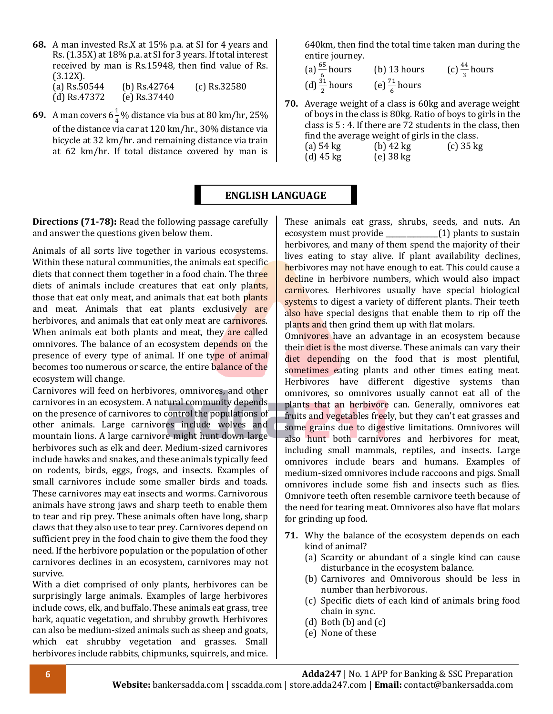- **68.** A man invested Rs.X at 15% p.a. at SI for 4 years and Rs.(1.35X) at 18% p.a. at SI for 3 years. If total interest received by man is Rs.15948, then find value of Rs. (3.12X). (a) Rs.50544 (b) Rs.42764 (c) Rs.32580 (d) Rs.47372 (e) Rs.37440
- **69.** A man covers  $6\frac{1}{4}$  $\frac{1}{4}$ % distance via bus at 80 km/hr, 25% of the distance via car at 120 km/hr., 30% distance via bicycle at 32 km/hr. and remaining distance via train at 62 km/hr. If total distance covered by man is

640km, then find the total time taken man during the entire journey.

(a) 
$$
\frac{65}{6}
$$
 hours  
\n(b) 13 hours  
\n(c)  $\frac{44}{3}$  hours  
\n(d)  $\frac{31}{2}$  hours  
\n(e)  $\frac{71}{6}$  hours

**70.** Average weight of a class is 60kg and average weight of boys in the class is 80kg. Ratio of boys to girls in the class is 5 : 4. If there are 72 students in the class, then find the average weight of girls in the class. (a) 54 kg (b) 42 kg (c) 35 kg (d) 45 kg (e) 38 kg

### **ENGLISH LANGUAGE**

**Directions (71-78):** Read the following passage carefully and answer the questions given below them.

Animals of all sorts live together in various ecosystems. Within these natural communities, the animals eat specific diets that connect them together in a food chain. The three diets of animals include creatures that eat only plants, those that eat only meat, and animals that eat both plants and meat. Animals that eat plants exclusively are herbivores, and animals that eat only meat are carnivores. When animals eat both plants and meat, they are called omnivores. The balance of an ecosystem depends on the presence of every type of animal. If one type of animal becomes too numerous or scarce, the entire balance of the ecosystem will change.

Carnivores will feed on herbivores, omnivores, and other carnivores in an ecosystem. A natural community depends on the presence of carnivores to control the populations of other animals. Large carnivores include wolves and mountain lions. A large carnivore might hunt down large herbivores such as elk and deer. Medium-sized carnivores include hawks and snakes, and these animals typically feed on rodents, birds, eggs, frogs, and insects. Examples of small carnivores include some smaller birds and toads. These carnivores may eat insects and worms. Carnivorous animals have strong jaws and sharp teeth to enable them to tear and rip prey. These animals often have long, sharp claws that they also use to tear prey. Carnivores depend on sufficient prey in the food chain to give them the food they need. If the herbivore population or the population of other carnivores declines in an ecosystem, carnivores may not survive.

With a diet comprised of only plants, herbivores can be surprisingly large animals. Examples of large herbivores include cows, elk, and buffalo. These animals eat grass, tree bark, aquatic vegetation, and shrubby growth. Herbivores can also be medium-sized animals such as sheep and goats, which eat shrubby vegetation and grasses. Small herbivores include rabbits, chipmunks, squirrels, and mice. These animals eat grass, shrubs, seeds, and nuts. An ecosystem must provide \_\_\_\_\_\_\_\_\_\_\_\_\_\_\_(1) plants to sustain herbivores, and many of them spend the majority of their lives eating to stay alive. If plant availability declines, herbivores may not have enough to eat. This could cause a decline in herbivore numbers, which would also impact carnivores. Herbivores usually have special biological systems to digest a variety of different plants. Their teeth also have special designs that enable them to rip off the plants and then grind them up with flat molars.

Omnivores have an advantage in an ecosystem because their diet is the most diverse. These animals can vary their diet depending on the food that is most plentiful, sometimes eating plants and other times eating meat. Herbivores have different digestive systems than omnivores, so omnivores usually cannot eat all of the plants that an herbivore can. Generally, omnivores eat fruits and vegetables freely, but they can't eat grasses and some grains due to digestive limitations. Omnivores will also hunt both carnivores and herbivores for meat, including small mammals, reptiles, and insects. Large omnivores include bears and humans. Examples of medium-sized omnivores include raccoons and pigs. Small omnivores include some fish and insects such as flies. Omnivore teeth often resemble carnivore teeth because of the need for tearing meat. Omnivores also have flat molars for grinding up food.

- **71.** Why the balance of the ecosystem depends on each kind of animal?
	- (a) Scarcity or abundant of a single kind can cause disturbance in the ecosystem balance.
	- (b) Carnivores and Omnivorous should be less in number than herbivorous.
	- (c) Specific diets of each kind of animals bring food chain in sync.
	- (d) Both  $(b)$  and  $(c)$
	- (e) None of these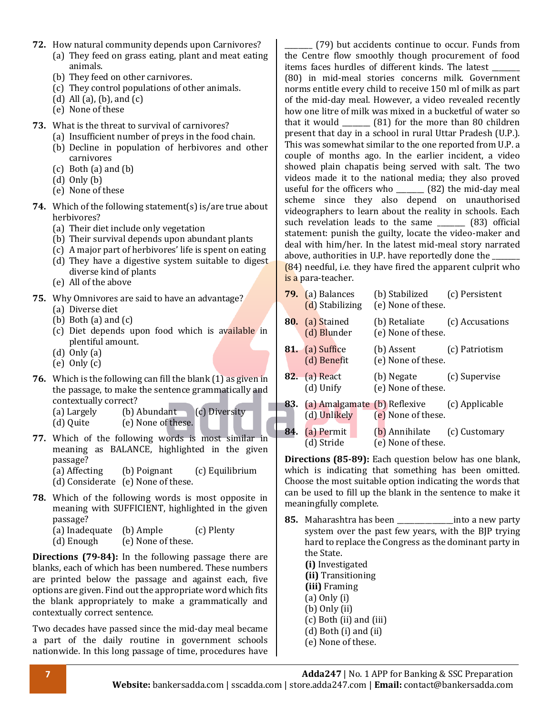- **72.** How natural community depends upon Carnivores? (a) They feed on grass eating, plant and meat eating animals.
	- (b) They feed on other carnivores.
	- (c) They control populations of other animals.
	- (d) All (a), (b), and (c)
	- (e) None of these
- **73.** What is the threat to survival of carnivores?
	- (a) Insufficient number of preys in the food chain.
	- (b) Decline in population of herbivores and other carnivores
	- (c) Both (a) and (b)
	- (d) Only (b)
	- (e) None of these
- **74.** Which of the following statement(s) is/are true about herbivores?
	- (a) Their diet include only vegetation
	- (b) Their survival depends upon abundant plants
	- (c) A major part of herbivores' life is spent on eating (d) They have a digestive system suitable to digest
	- diverse kind of plants (e) All of the above
	-
- **75.** Why Omnivores are said to have an advantage?
	- (a) Diverse diet
	- (b) Both (a) and (c)
	- (c) Diet depends upon food which is available in plentiful amount.
	- (d) Only (a)
	- (e) Only (c)
- **76.** Which is the following can fill the blank (1) as given in the passage, to make the sentence grammatically and contextually correct?

(a) Largely (b) Abundant (c) Diversity (d) Quite (e) None of these.

**77.** Which of the following words is most similar in meaning as BALANCE, highlighted in the given passage? (a) Affecting (b) Poignant (c) Equilibrium

(d) Considerate (e) None of these.

- **78.** Which of the following words is most opposite in meaning with SUFFICIENT, highlighted in the given passage? (a) Inadequate (b) Ample (c) Plenty
	- (d) Enough (e) None of these.

**Directions (79-84):** In the following passage there are blanks, each of which has been numbered. These numbers are printed below the passage and against each, five options are given. Find out the appropriate word which fits the blank appropriately to make a grammatically and contextually correct sentence.

Two decades have passed since the mid-day meal became a part of the daily routine in government schools nationwide. In this long passage of time, procedures have

\_\_\_\_\_\_\_\_ (79) but accidents continue to occur. Funds from the Centre flow smoothly though procurement of food items faces hurdles of different kinds. The latest (80) in mid-meal stories concerns milk. Government norms entitle every child to receive 150 ml of milk as part of the mid-day meal. However, a video revealed recently how one litre of milk was mixed in a bucketful of water so that it would \_\_\_\_\_\_\_\_ (81) for the more than 80 children present that day in a school in rural Uttar Pradesh (U.P.). This was somewhat similar to the one reported from U.P. a couple of months ago. In the earlier incident, a video showed plain chapatis being served with salt. The two videos made it to the national media; they also proved useful for the officers who (82) the mid-day meal scheme since they also depend on unauthorised videographers to learn about the reality in schools. Each such revelation leads to the same \_\_\_\_\_\_\_\_ (83) official statement: punish the guilty, locate the video-maker and deal with him/her. In the latest mid-meal story narrated above, authorities in U.P. have reportedly done the (84) needful, i.e. they have fired the apparent culprit who is a para-teacher.

**79.** (a) Balances (b) Stabilized (c) Persistent (d) Stabilizing (e) None of these. **80.** (a) Stained (b) Retaliate (c) Accusations (d) Blunder (e) None of these. **81.** (a) Suffice (b) Assent (c) Patriotism (d) Benefit (e) None of these. **82.** (a) React (b) Negate (c) Supervise (d) Unify (e) None of these. **83.** (a) Amalgamate (b) Reflexive (c) Applicable (d) Unlikely (e) None of these. **84.** (a) Permit (b) Annihilate (c) Customary (d) Stride (e) None of these.

**Directions (85-89):** Each question below has one blank, which is indicating that something has been omitted. Choose the most suitable option indicating the words that can be used to fill up the blank in the sentence to make it meaningfully complete.

- **85.** Maharashtra has been \_\_\_\_\_\_\_\_\_\_\_\_\_\_\_\_into a new party system over the past few years, with the BJP trying hard to replace the Congress as the dominant party in the State. **(i)** Investigated
	- **(ii)** Transitioning
	- **(iii)** Framing
	- (a) Only (i)
	- (b) Only (ii)
	- (c) Both (ii) and (iii)
	- (d) Both (i) and (ii)
	- (e) None of these.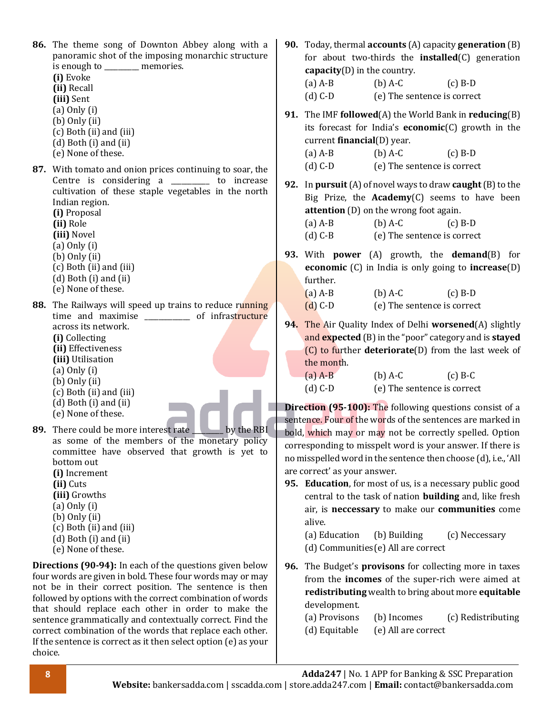| 86. The theme song of Downton Abbey along with a<br>panoramic shot of the imposing monarchic structure<br>is enough to _______ memories.<br>(i) Evoke<br>(ii) Recall<br>(iii) Sent<br>$(a)$ Only $(i)$<br>$(b)$ Only $(ii)$<br>(c) Both (ii) and (iii)<br>$(d)$ Both $(i)$ and $(ii)$<br>(e) None of these.                                                                                                                                                                                                        | 90. Today, thermal accounts (A) capacity generation (B)<br>for about two-thirds the <b>installed</b> $(C)$ generation<br>$capacity(D)$ in the country.<br>$(a)$ A-B<br>$(b)$ A-C<br>$(c)$ B-D<br>$(d)$ C-D<br>(e) The sentence is correct<br>91. The IMF followed(A) the World Bank in reducing(B)<br>its forecast for India's $economic(C)$ growth in the<br>current $\mathbf{financial}(D)$ year.<br>$(b)$ A-C<br>$(a)$ A-B<br>$(c)$ B-D                                                            |
|--------------------------------------------------------------------------------------------------------------------------------------------------------------------------------------------------------------------------------------------------------------------------------------------------------------------------------------------------------------------------------------------------------------------------------------------------------------------------------------------------------------------|-------------------------------------------------------------------------------------------------------------------------------------------------------------------------------------------------------------------------------------------------------------------------------------------------------------------------------------------------------------------------------------------------------------------------------------------------------------------------------------------------------|
| 87. With tomato and onion prices continuing to soar, the<br>Centre is considering a _________ to increase<br>cultivation of these staple vegetables in the north<br>Indian region.<br>(i) Proposal<br>(ii) Role<br>(iii) Novel<br>$(a)$ Only $(i)$<br>$(b)$ Only $(ii)$<br>(c) Both (ii) and (iii)<br>$(d)$ Both $(i)$ and $(ii)$<br>(e) None of these.                                                                                                                                                            | $(d)$ C-D<br>(e) The sentence is correct<br>92. In pursuit (A) of novel ways to draw caught $(B)$ to the<br>Big Prize, the Academy(C) seems to have been<br>attention (D) on the wrong foot again.<br>$(b)$ A-C<br>$(a)$ A-B<br>$(c)$ B-D<br>(d) C-B (e) The sentence is correct<br>93. With power (A) growth, the demand(B) for<br><b>economic</b> $(C)$ in India is only going to <b>increase</b> $(D)$<br>further.<br>$(a)$ A-B<br>$(b)$ A-C<br>$(c)$ B-D                                          |
| 88. The Railways will speed up trains to reduce running<br>time and maximise _____________ of infrastructure<br>across its network.<br>(i) Collecting<br>(ii) Effectiveness<br>(iii) Utilisation<br>$(a)$ Only $(i)$<br>$(b)$ Only $(ii)$<br>(c) Both (ii) and (iii)<br>$(d)$ Both $(i)$ and $(ii)$<br>(e) None of these.<br>89. There could be more interest rate<br>by the RBI                                                                                                                                   | $(d) C-D$<br>(e) The sentence is correct<br>94. The Air Quality Index of Delhi worsened(A) slightly<br>and expected (B) in the "poor" category and is stayed<br>$(C)$ to further <b>deteriorate</b> $(D)$ from the last week of<br>the month.<br>$(a)$ A-B<br>$(b)$ A-C<br>$(c)$ B-C<br>(e) The sentence is correct<br>$(d)$ C-D<br><b>Direction (95-100):</b> The following questions consist of a<br>sentence. Four of the words of the sentences are marked in                                     |
| as some of the members of the monetary policy<br>committee have observed that growth is yet to<br>bottom out<br>(i) Increment<br>(ii) Cuts<br>(iii) Growths<br>$(a)$ Only $(i)$<br>$(b)$ Only $(ii)$<br>(c) Both (ii) and (iii)<br>$(d)$ Both $(i)$ and $(ii)$<br>(e) None of these.                                                                                                                                                                                                                               | bold, which may or may not be correctly spelled. Option<br>corresponding to misspelt word is your answer. If there is<br>no misspelled word in the sentence then choose (d), i.e., 'All<br>are correct' as your answer.<br>95. Education, for most of us, is a necessary public good<br>central to the task of nation building and, like fresh<br>air, is neccessary to make our communities come<br>alive.<br>(a) Education<br>(b) Building<br>(c) Neccessary<br>(d) Communities (e) All are correct |
| <b>Directions (90-94):</b> In each of the questions given below<br>four words are given in bold. These four words may or may<br>not be in their correct position. The sentence is then<br>followed by options with the correct combination of words<br>that should replace each other in order to make the<br>sentence grammatically and contextually correct. Find the<br>correct combination of the words that replace each other.<br>If the sentence is correct as it then select option (e) as your<br>choice. | The Budget's <b>provisons</b> for collecting more in taxes<br>96.<br>from the incomes of the super-rich were aimed at<br>redistributing wealth to bring about more equitable<br>development.<br>(a) Provisons<br>(b) Incomes<br>(c) Redistributing<br>(d) Equitable<br>(e) All are correct                                                                                                                                                                                                            |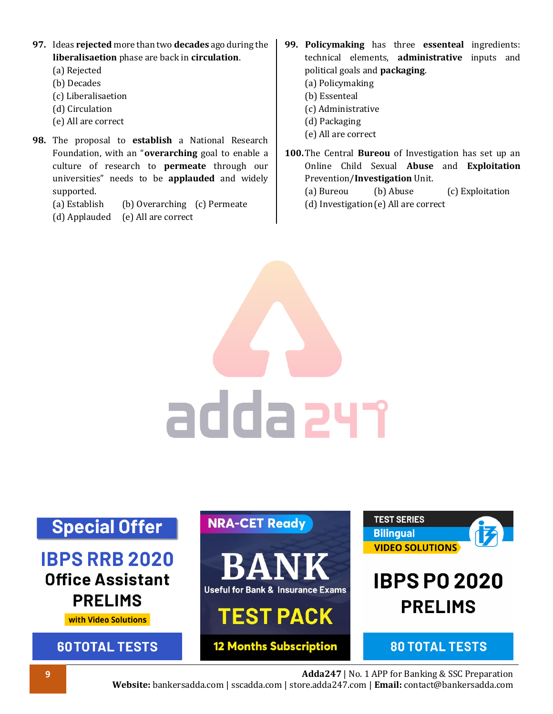- **97.** Ideas **rejected** more than two **decades** ago during the **liberalisaetion** phase are back in **circulation**.
	- (a) Rejected
	- (b) Decades
	- (c) Liberalisaetion
	- (d) Circulation
	- (e) All are correct
- **98.** The proposal to **establish** a National Research Foundation, with an "**overarching** goal to enable a culture of research to **permeate** through our universities" needs to be **applauded** and widely supported.
	- (a) Establish (b) Overarching (c) Permeate
	- (d) Applauded (e) All are correct
- **99. Policymaking** has three **essenteal** ingredients: technical elements, **administrative** inputs and political goals and **packaging**.
	- (a) Policymaking
	- (b) Essenteal
	- (c) Administrative
	- (d) Packaging
	- (e) All are correct
- **100.**The Central **Bureou** of Investigation has set up an Online Child Sexual **Abuse** and **Exploitation** Prevention/**Investigation** Unit.
	- (a) Bureou (b) Abuse (c) Exploitation
	- (d) Investigation(e) All are correct

adda 241

#### **TEST SERIES NRA-CET Ready Special Offer** 仔 **Bilingual VIDEO SOLUTIONS IBPS RRB 2020 Office Assistant IBPS PO 2020 Useful for Bank & Insurance Exams PRELIMS PRELIMS TEST PACK** with Video Solutions **12 Months Subscription 60TOTAL TESTS 80 TOTAL TESTS**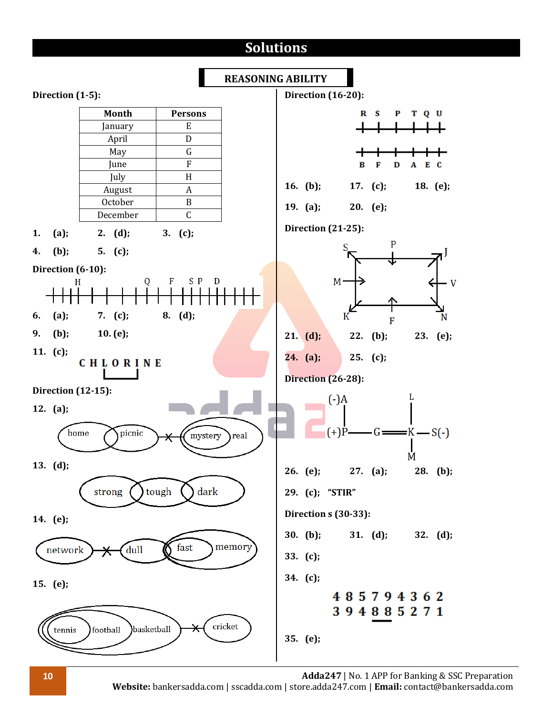# **Solutions**



**10 Adda247** | No. 1 APP for Banking & SSC Preparation

**Website:** bankersadda.com | sscadda.com | store.adda247.com | **Email:** contact@bankersadda.com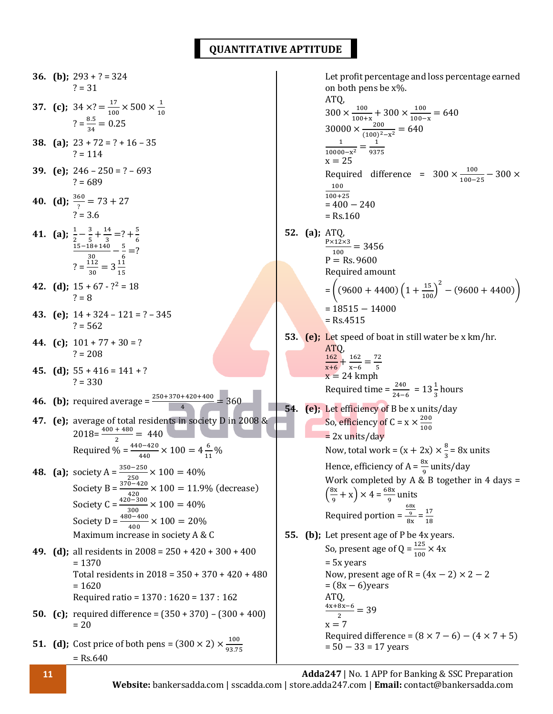### **QUANTITATIVE APTITUDE**

**36. (b)**;  $293 + ? = 324$  $? = 31$ **37.** (c);  $34 \times ? = \frac{17}{120}$  $\frac{17}{100} \times 500 \times \frac{1}{10}$ 10  $? = \frac{8.5}{34} = 0.25$ **38. (a);** 23 + 72 = ? + 16 – 35  $? = 114$ **39. (e);** 246 – 250 = ? – 693  $? = 689$ **40.** (**d**);  $\frac{360}{?} = 73 + 27$  $? = 3.6$ **41.** (a);  $\frac{1}{2} - \frac{3}{5}$  $\frac{3}{5} + \frac{14}{3}$  $rac{14}{3}$  =? +  $rac{5}{6}$  $2 \t 5 \t 3 \t 6$ <br>15-18+140 5  $\frac{18+140}{30} - \frac{5}{6}$  $\frac{3}{6}$  =?  $? = \frac{112}{30} = 3\frac{11}{15}$ 15 **42.** (d);  $15 + 67 - 7^2 = 18$  $2 = 8$ **43. (e);** 14 + 324 – 121 = ? – 345  $? = 562$ **44.** (c);  $101 + 77 + 30 = ?$  $? = 208$ **45.** (d);  $55 + 416 = 141 + ?$  $? = 330$ **46. (b);** required average =  $\frac{250+370+420+400}{4}$  = 360 **47. (e);** average of total residents in society D in 2008 &  $2018 = \frac{400 + 480}{2} = 440$ Required % =  $\frac{440-420}{440} \times 100 = 4\frac{6}{11}$  $\frac{6}{11}\%$ **48.** (a); society  $A = \frac{350 - 250}{250} \times 100 = 40\%$ Society B =  $\frac{370-420}{420}$  × 100 = 11.9% (decrease) Society C =  $\frac{420-300}{300} \times 100 = 40\%$ Society D =  $\frac{480-400}{400} \times 100 = 20\%$ Maximum increase in society A & C **49. (d);** all residents in 2008 = 250 + 420 + 300 + 400  $= 1370$ Total residents in 2018 = 350 + 370 + 420 + 480  $= 1620$ Required ratio = 1370 : 1620 = 137 : 162 **50. (c);** required difference = (350 + 370) – (300 + 400)  $= 20$ **51.** (**d**); Cost price of both pens =  $(300 \times 2) \times \frac{100}{22.77}$ 93.75  $=$  Rs.640 Let profit percentage and loss percentage earned on both pens be x%. ATQ,  $300 \times \frac{100}{100}$  $\frac{100}{100+x}$  + 300  $\times \frac{100}{100-x}$  $\frac{100}{100-x} = 640$  $30000 \times \frac{200}{(400)^2}$  $\frac{200}{(100)^2 - x^2} = 640$ 1  $\frac{1}{10000-x^2} = \frac{1}{937}$  $x = 25$  9375 Required difference =  $300 \times \frac{100}{100}$  $\frac{100}{100-25} - 300 \times$ 100 100+25  $= 400 - 240$  $=$  Rs.160 **52. (a);** ATQ, P×12×3  $\frac{12\times3}{100} = 3456$  $P = Rs. 9600$ Required amount  $=\left((9600+4400)\left(1+\frac{15}{100}\right)^2-(9600+4400)\right)$  $= 18515 - 14000$  $=$  Rs.4515 **53. (e);** Let speed of boat in still water be x km/hr. ATQ, 162  $\frac{162}{x+6} + \frac{162}{x-6}$  $\frac{162}{x-6} = \frac{72}{5}$  $x+6$  x-6 5<br> $x = 24$  kmph Required time =  $\frac{240}{24-6}$  = 13 $\frac{1}{3}$  hours **54. (e);** Let efficiency of B be x units/day So, efficiency of C =  $x \times \frac{200}{100}$ 100  $= 2x$  units/day Now, total work =  $(x + 2x) \times \frac{8}{5}$  $\frac{8}{3}$  = 8x units Hence, efficiency of A =  $\frac{8x}{9}$  units/day Work completed by A & B together in 4 days =  $\left(\frac{8x}{2}\right)$  $(\frac{3x}{9} + x) \times 4 = \frac{68x}{9}$  $rac{88}{9}$  units Required portion = 68x 9  $\frac{1}{8x} = \frac{17}{18}$ 18 **55. (b);** Let present age of P be 4x years. So, present age of Q =  $\frac{125}{100} \times 4x$ = 5x years Now, present age of R =  $(4x - 2) \times 2 - 2$  $=(8x - 6)$ years ATQ,  $\frac{4x+8x-6}{2}$  = 39 2  $x = 7$ Required difference =  $(8 \times 7 - 6) - (4 \times 7 + 5)$  $= 50 - 33 = 17$  years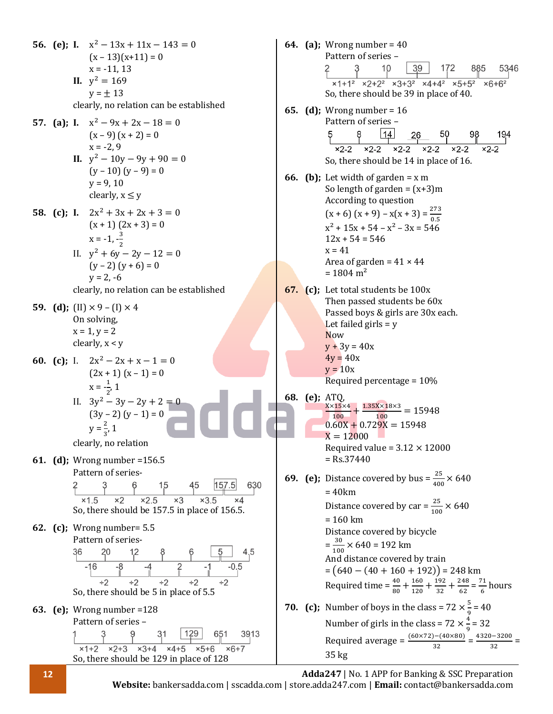**56. (e)**; **I.**  $x^2 - 13x + 11x - 143 = 0$ **64. (a);** Wrong number = 40  $(x - 13)(x + 11) = 0$ Pattern of series –<br>
2 3 10 39 172 885 53<br>  $\times 1+1^2 \times 2+2^2 \times 3+3^2 \times 4+4^2 \times 5+5^2 \times 6+6^2$ 5346  $x = -11, 13$ **II.**  $y^2 = 169$  $y = \pm 13$ So, there should be 39 in place of 40. clearly, no relation can be established **65. (d);** Wrong number = 16 Pattern of series – **57.** (a); **I.**  $x^2 - 9x + 2x - 18 = 0$  $8$  14 26 50 98 194<br> $x^2-2$   $x^2-2$   $x^2-2$   $x^2-2$   $x^2-2$   $x^2-2$   $x^2-2$  $(x - 9)(x + 2) = 0$  $x = -2.9$ **II.**  $y^2 - 10y - 9y + 90 = 0$ So, there should be 14 in place of 16.  $(y - 10)(y - 9) = 0$ **66. (b)**; Let width of garden =  $x$  m  $y = 9, 10$ So length of garden =  $(x+3)m$ clearly,  $x \leq y$ According to question  $(x + 6) (x + 9) - x(x + 3) = \frac{273}{0.5}$ **58.** (c); **I.**  $2x^2 + 3x + 2x + 3 = 0$  $(x + 1) (2x + 3) = 0$  $x^{2}$  + 15x + 54 –  $x^{2}$  – 3x = 546  $x = -1, -\frac{3}{2}$  $12x + 54 = 546$ 2  $x = 41$ II.  $y^2 + 6y - 2y - 12 = 0$ Area of garden =  $41 \times 44$  $(y - 2)(y + 6) = 0$  $= 1804 \text{ m}^2$  $y = 2, -6$ clearly, no relation can be established **67. (c);** Let total students be 100x Then passed students be 60x **59. (d)**; (II)  $\times$  9 – (I)  $\times$  4 Passed boys & girls are 30x each. On solving, Let failed girls  $= y$  $x = 1, y = 2$ Now clearly, x < y  $y + 3y = 40x$  $4y = 40x$ **60. (c)**; I.  $2x^2 - 2x + x - 1 = 0$  $y = 10x$  $(2x + 1)(x - 1) = 0$ Required percentage = 10%  $x = \frac{1}{2}$ , 1 2 **68. (e);** ATQ, II.  $3y^2 - 3y - 2y + 2 = 0$  $X \times 15 \times 4$  $\frac{\times 15 \times 4}{100} + \frac{1.35 \times 18 \times 3}{100}$  $\frac{100}{100} = 15948$  $(3y - 2)(y - 1) = 0$  $0.60X + 0.729X = 15948$  $y = \frac{2}{3}$  $\frac{2}{3}$ , 1  $X = 12000$ clearly, no relation Required value =  $3.12 \times 12000$ **61. (d);** Wrong number =156.5  $=$  Rs.37440 Pattern of series-<br>  $2 \t 3 \t 6 \t 15 \t 45 \t 157.5 \t 630$ <br>  $\times 1.5 \t 2 \t 2.5 \t 3 \t 3.5 \t 4$ **69. (e);** Distance covered by bus =  $\frac{25}{400} \times 640$ = 40km Distance covered by car =  $\frac{25}{100} \times 640$ So, there should be 157.5 in place of 156.5. = 160 km **62. (c);** Wrong number= 5.5 Distance covered by bicycle Pattern of series- $=\frac{30}{100}$  $\frac{30}{100}$  × 640 = 192 km  $-16$   $-8$   $-4$   $2$   $-1$   $-0.5$ <br> $-16$   $-8$   $-4$   $2$   $-1$   $-0.5$ And distance covered by train  $= (640 - (40 + 160 + 192)) = 248$  km Required time =  $\frac{40}{80} + \frac{160}{120}$  $\frac{160}{120} + \frac{192}{32}$  $\frac{192}{32} + \frac{248}{62}$  $\frac{248}{62} = \frac{71}{6}$  $\frac{1}{6}$  hours So, there should be 5 in place of 5.5 **70. (c);** Number of boys in the class =  $72 \times \frac{5}{6} = 40$ **63. (e);** Wrong number =128 9 Number of girls in the class =  $72 \times \frac{4}{9}$ Pattern of series –  $\frac{4}{9}$  = 32  $3$  9 31 129 651 3<br> $x1+2$   $x2+3$   $x3+4$   $x4+5$   $x5+6$   $x6+7$ Required average =  $\frac{(60 \times 72) - (40 \times 80)}{32} = \frac{4320 - 3200}{32}$  $\frac{3200}{32}$  = 35 kgSo, there should be 129 in place of 128

**12 Adda247** | No. 1 APP for Banking & SSC Preparation **Website:** bankersadda.com | sscadda.com | store.adda247.com | **Email:** contact@bankersadda.com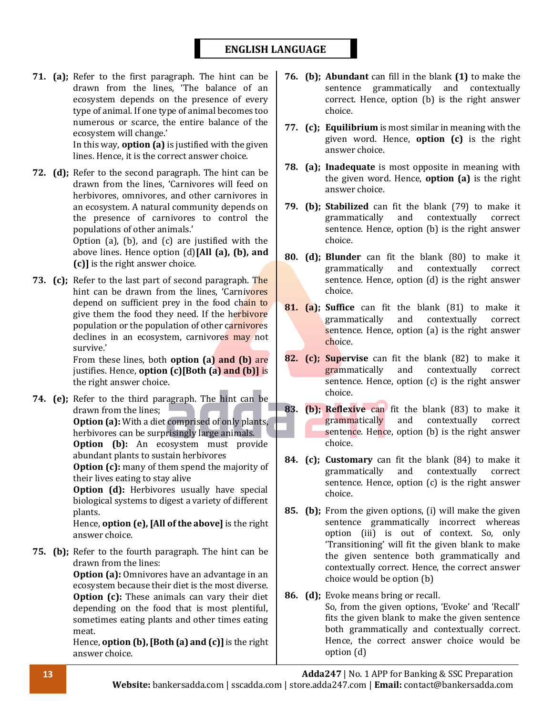### **ENGLISH LANGUAGE**

**71. (a);** Refer to the first paragraph. The hint can be drawn from the lines, 'The balance of an ecosystem depends on the presence of every type of animal. If one type of animal becomes too numerous or scarce, the entire balance of the ecosystem will change.' In this way, **option (a)** is justified with the given

lines. Hence, it is the correct answer choice.

**72. (d);** Refer to the second paragraph. The hint can be drawn from the lines, 'Carnivores will feed on herbivores, omnivores, and other carnivores in an ecosystem. A natural community depends on the presence of carnivores to control the populations of other animals.' Option (a), (b), and (c) are justified with the above lines. Hence option (d)**[All (a), (b), and** 

**(c)]** is the right answer choice. **73. (c);** Refer to the last part of second paragraph. The hint can be drawn from the lines, 'Carnivores'

depend on sufficient prey in the food chain to give them the food they need. If the herbivore population or the population of other carnivores declines in an ecosystem, carnivores may not survive.'

From these lines, both **option (a) and (b)** are justifies. Hence, **option (c)[Both (a) and (b)]** is the right answer choice.

**74. (e);** Refer to the third paragraph. The hint can be drawn from the lines; **Option (a):** With a diet comprised of only plants, herbivores can be surprisingly large animals. **Option (b):** An ecosystem must provide abundant plants to sustain herbivores **Option (c):** many of them spend the majority of their lives eating to stay alive **Option (d):** Herbivores usually have special biological systems to digest a variety of different plants.

> Hence, **option (e), [All of the above]** is the right answer choice.

**75. (b);** Refer to the fourth paragraph. The hint can be drawn from the lines:

> **Option (a):** Omnivores have an advantage in an ecosystem because their diet is the most diverse. **Option (c):** These animals can vary their diet depending on the food that is most plentiful, sometimes eating plants and other times eating meat.

> Hence, **option (b), [Both (a) and (c)]** is the right answer choice.

- **76. (b); Abundant** can fill in the blank **(1)** to make the sentence grammatically and contextually correct. Hence, option (b) is the right answer choice.
- **77. (c); Equilibrium** is most similar in meaning with the given word. Hence, **option (c)** is the right answer choice.
- **78. (a); Inadequate** is most opposite in meaning with the given word. Hence, **option (a)** is the right answer choice.
- **79. (b); Stabilized** can fit the blank (79) to make it grammatically and contextually correct sentence. Hence, option (b) is the right answer choice.
- **80. (d); Blunder** can fit the blank (80) to make it grammatically and contextually correct sentence. Hence, option (d) is the right answer choice.
- **81. (a); Suffice** can fit the blank (81) to make it grammatically and contextually correct sentence. Hence, option (a) is the right answer choice.
- **82. (c); Supervise** can fit the blank (82) to make it grammatically and contextually correct sentence. Hence, option (c) is the right answer choice.
- **83. (b); Reflexive** can fit the blank (83) to make it grammatically and contextually correct sentence. Hence, option (b) is the right answer choice.
- **84. (c); Customary** can fit the blank (84) to make it grammatically and contextually correct sentence. Hence, option (c) is the right answer choice.
- **85. (b);** From the given options, (i) will make the given sentence grammatically incorrect whereas option (iii) is out of context. So, only 'Transitioning' will fit the given blank to make the given sentence both grammatically and contextually correct. Hence, the correct answer choice would be option (b)
- **86. (d);** Evoke means bring or recall. So, from the given options, 'Evoke' and 'Recall' fits the given blank to make the given sentence both grammatically and contextually correct. Hence, the correct answer choice would be option (d)